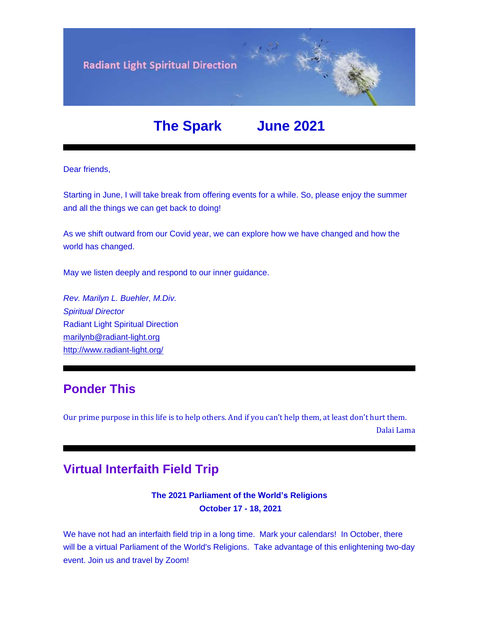

## **The Spark June 2021**

## Dear friends,

Starting in June, I will take break from offering events for a while. So, please enjoy the summer and all the things we can get back to doing!

As we shift outward from our Covid year, we can explore how we have changed and how the world has changed.

May we listen deeply and respond to our inner guidance.

*Rev. Marilyn L. Buehler, M.Div. Spiritual Director* Radiant Light Spiritual Direction [marilynb@radiant-light.org](mailto:marilynb@radiant-light.org) [http://www.radiant-light.org/](https://u18544456.ct.sendgrid.net/ls/click?upn=R-2Bl7NGDLiuME3v4KUDXT9h2qnOPi-2Bv0NUDPOAvqgwbSGaV-2BAb3Xm4aVOKtH6HhU9m-2FTXOQwSXWi82XNXQXmW0Ybjzw6tS-2BT4DLdUHTzXugFWK15x1FY1bK6oAs60zDHag0eP_FiQrYGg1YZElR924caalGEP3AHGeF79ulf5jxC9Fbcd8IfoR4p2-2FW0xZvJaX6Y3z75H0Yw3uGmHJTH3azVPJ5HXoQqlNvxrtacG06ak4RKHE-2Bui4VgoWYrI-2FV8vTyxkk9Wv-2F6BjbH7aVeiiUu-2B20ruNlcWumtowgXmSyPUOok9XnYSTQOZ-2FPYto-2BSDmTi2x0qFx48nAvSjJaEnnXUIgRCbPkP7h4PIy0r-2BsMLGq8-2B4S6JxiHc-2FKlybWJNZZh4ZFvyODWEBpCusXHpkqtCbQUYg-3D-3D)

## **Ponder This**

Our prime purpose in this life is to help others. And if you can't help them, at least don't hurt them.

Dalai Lama

## **Virtual Interfaith Field Trip**

**The 2021 Parliament of the World's Religions October 17 - 18, 2021**

We have not had an interfaith field trip in a long time. Mark your calendars! In October, there will be a virtual Parliament of the World's Religions. Take advantage of this enlightening two-day event. Join us and travel by Zoom!